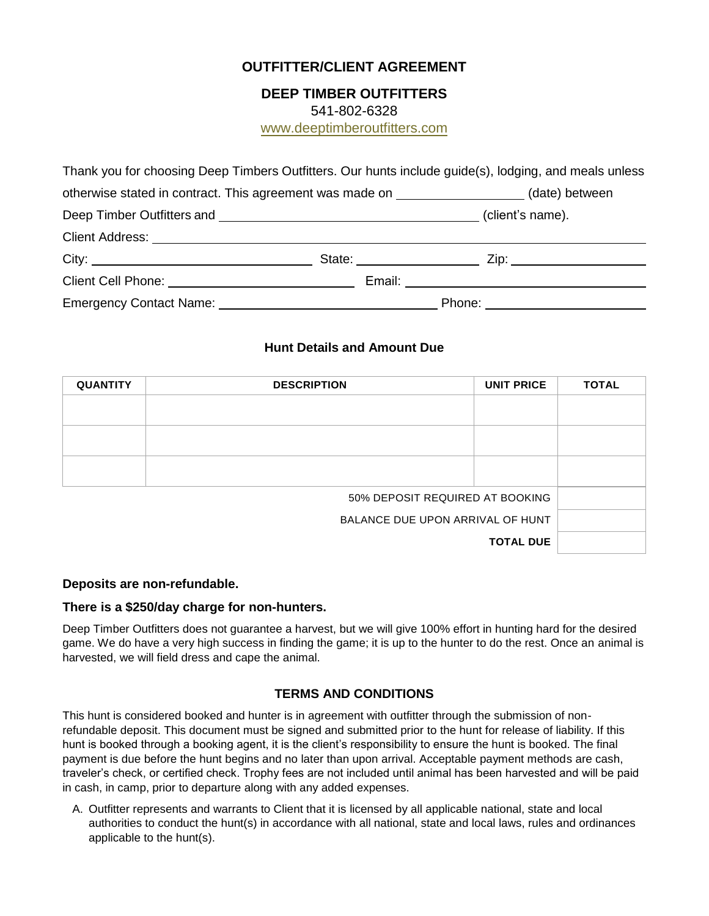# **OUTFITTER/CLIENT AGREEMENT**

## **DEEP TIMBER OUTFITTERS**

541-802-6328

www.deeptimberoutfitters.com

| Thank you for choosing Deep Timbers Outfitters. Our hunts include guide(s), lodging, and meals unless                                                                                                                          |  |                                  |                  |
|--------------------------------------------------------------------------------------------------------------------------------------------------------------------------------------------------------------------------------|--|----------------------------------|------------------|
| otherwise stated in contract. This agreement was made on _________________(date) between                                                                                                                                       |  |                                  |                  |
|                                                                                                                                                                                                                                |  |                                  | (client's name). |
| Client Address: University of the Client Address of the Client Address of the Client Address of the Client Address of the Client Address of the Client Address of the Client Address of the Client Address of the Client Addre |  |                                  |                  |
|                                                                                                                                                                                                                                |  |                                  |                  |
|                                                                                                                                                                                                                                |  | Email: _________________________ |                  |
|                                                                                                                                                                                                                                |  |                                  |                  |

## **Hunt Details and Amount Due**

| <b>QUANTITY</b>                  | <b>DESCRIPTION</b> | <b>UNIT PRICE</b> | <b>TOTAL</b> |
|----------------------------------|--------------------|-------------------|--------------|
|                                  |                    |                   |              |
|                                  |                    |                   |              |
|                                  |                    |                   |              |
| 50% DEPOSIT REQUIRED AT BOOKING  |                    |                   |              |
| BALANCE DUE UPON ARRIVAL OF HUNT |                    |                   |              |
|                                  |                    | <b>TOTAL DUE</b>  |              |

#### **Deposits are non-refundable.**

#### **There is a \$250/day charge for non-hunters.**

Deep Timber Outfitters does not guarantee a harvest, but we will give 100% effort in hunting hard for the desired game. We do have a very high success in finding the game; it is up to the hunter to do the rest. Once an animal is harvested, we will field dress and cape the animal.

### **TERMS AND CONDITIONS**

This hunt is considered booked and hunter is in agreement with outfitter through the submission of nonrefundable deposit. This document must be signed and submitted prior to the hunt for release of liability. If this hunt is booked through a booking agent, it is the client's responsibility to ensure the hunt is booked. The final payment is due before the hunt begins and no later than upon arrival. Acceptable payment methods are cash, traveler's check, or certified check. Trophy fees are not included until animal has been harvested and will be paid in cash, in camp, prior to departure along with any added expenses.

A. Outfitter represents and warrants to Client that it is licensed by all applicable national, state and local authorities to conduct the hunt(s) in accordance with all national, state and local laws, rules and ordinances applicable to the hunt(s).